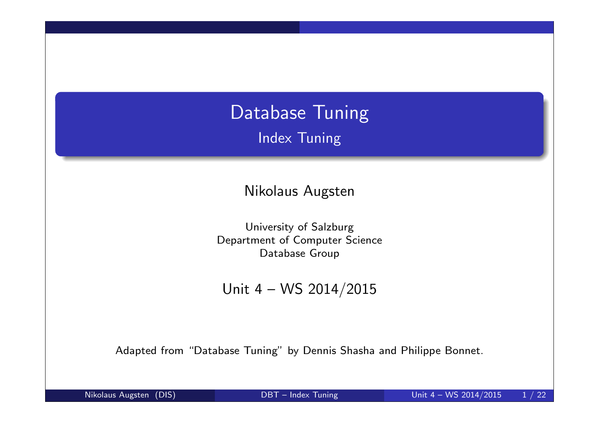## Database Tuning Index Tuning

Nikolaus Augsten

University of Salzburg Department of Computer Science Database Group

Unit 4 – WS 2014/2015

Adapted from "Database Tuning" by Dennis Shasha and Philippe Bonnet.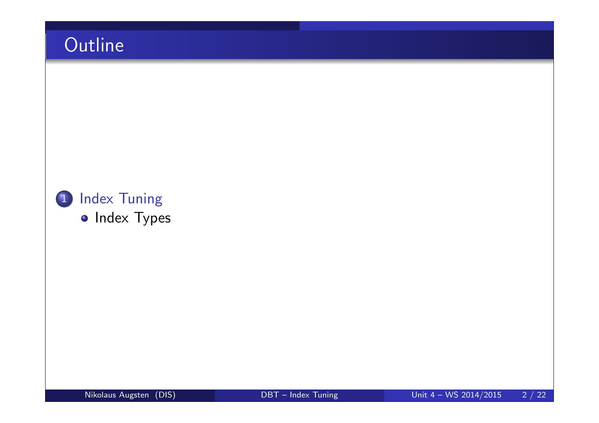# **Outline**

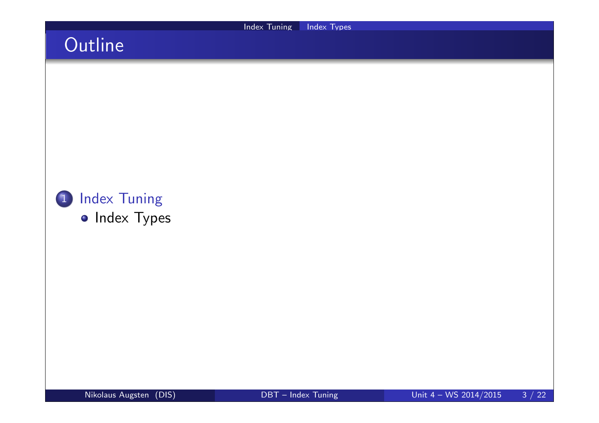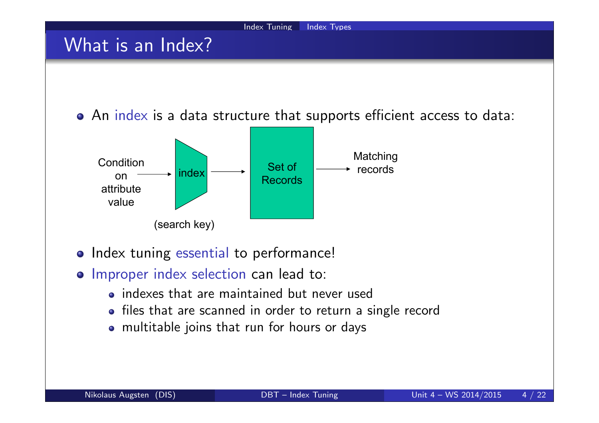

- indexes that are maintained but never used
- files that are scanned in order to return a single record
- multitable joins that run for hours or days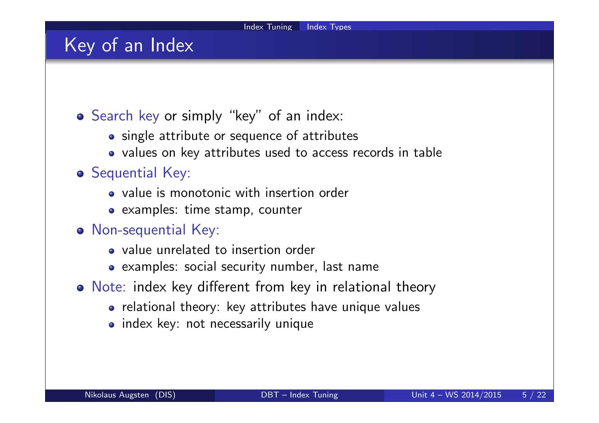### Key of an Index

- Search key or simply "key" of an index:
	- single attribute or sequence of attributes
	- values on key attributes used to access records in table

#### **o** Sequential Key:

- value is monotonic with insertion order
- examples: time stamp, counter

#### Non-sequential Key:

- value unrelated to insertion order
- examples: social security number, last name
- Note: index key different from key in relational theory
	- relational theory: key attributes have unique values
	- index key: not necessarily unique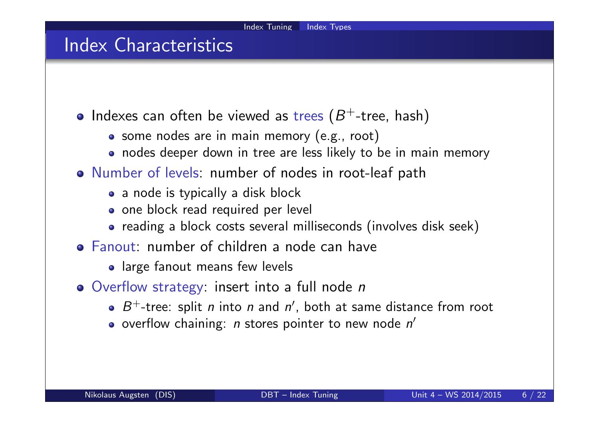### Index Characteristics

- Indexes can often be viewed as trees  $(B^+$ -tree, hash)
	- some nodes are in main memory (e.g., root)
	- nodes deeper down in tree are less likely to be in main memory
- Number of levels: number of nodes in root-leaf path
	- a node is typically a disk block
	- one block read required per level
	- reading a block costs several milliseconds (involves disk seek)
- Fanout: number of children a node can have
	- large fanout means few levels
- O Overflow strategy: insert into a full node n
	- $B^+$ -tree: split *n* into *n* and *n'*, both at same distance from root
	- overflow chaining:  $\emph{n}$  stores pointer to new node  $\emph{n}'$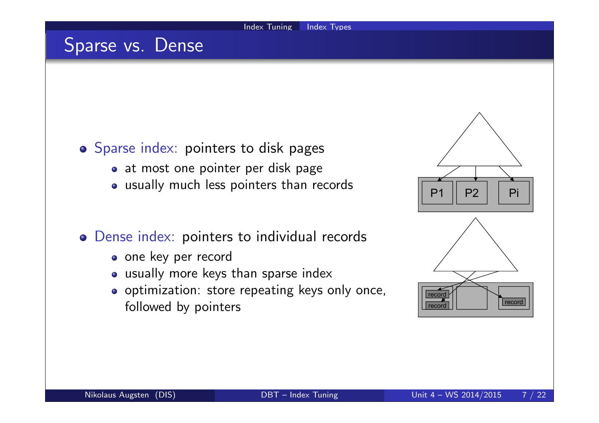### Sparse vs. Dense

#### o Sparse index: pointers to disk pages

- at most one pointer per disk page
- usually much less pointers than records

#### Dense index: pointers to individual records

- o one key per record
- usually more keys than sparse index
- o optimization: store repeating keys only once, followed by pointers

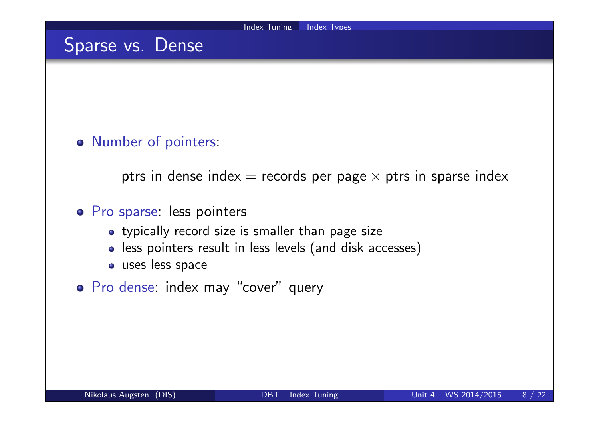### Sparse vs. Dense

#### o Number of pointers:

ptrs in dense index  $=$  records per page  $\times$  ptrs in sparse index

#### o Pro sparse: less pointers

- typically record size is smaller than page size
- less pointers result in less levels (and disk accesses)
- **o** uses less space
- Pro dense: index may "cover" query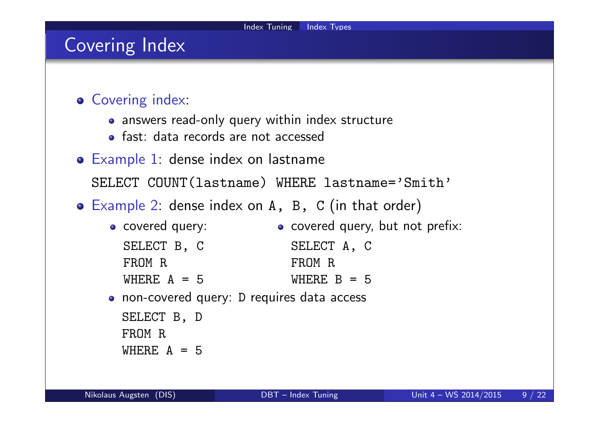### Covering Index

- **Covering index:** 
	- answers read-only query within index structure
	- fast: data records are not accessed
- Example 1: dense index on lastname SELECT COUNT(lastname) WHERE lastname='Smith'
- Example 2: dense index on A, B, C (in that order)
	- **o** covered query: SELECT B, C FROM R WHERE  $A = 5$ o covered query, but not prefix: SELECT A, C FROM R WHERE  $B = 5$ non-covered query: D requires data access
		- SELECT B, D FROM R WHERE  $A = 5$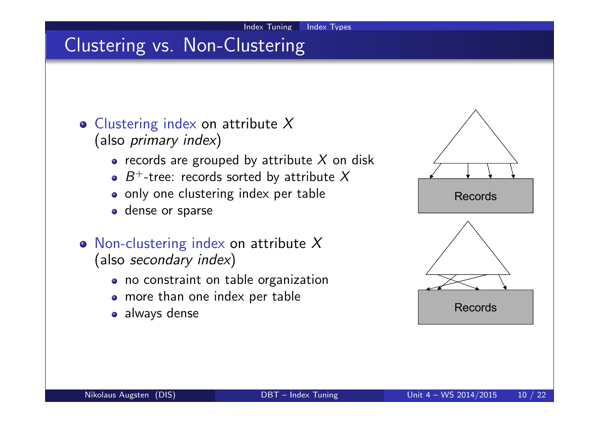# Clustering vs. Non-Clustering

- $\circ$  Clustering index on attribute X (also primary index)
	- records are grouped by attribute  $X$  on disk
	- $B^+$ -tree: records sorted by attribute X
	- only one clustering index per table
	- **o** dense or sparse
- Non-clustering index on attribute  $X$ (also secondary index)
	- no constraint on table organization
	- more than one index per table
	- always dense

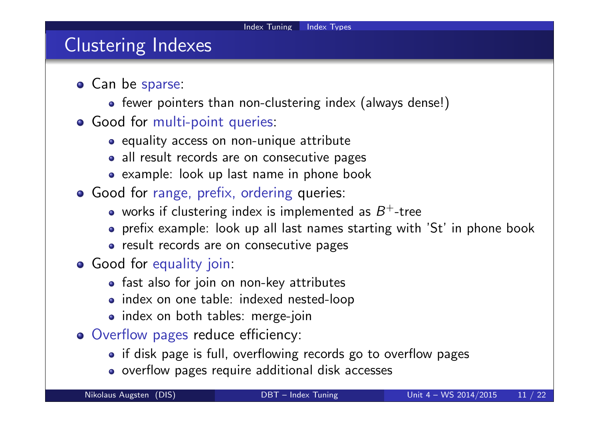### Clustering Indexes

- **•** Can be sparse:
	- fewer pointers than non-clustering index (always dense!)
- **o** Good for multi-point queries:
	- equality access on non-unique attribute
	- all result records are on consecutive pages
	- example: look up last name in phone book
- **Good for range, prefix, ordering queries:** 
	- works if clustering index is implemented as  $B^+$ -tree
	- prefix example: look up all last names starting with 'St' in phone book
	- result records are on consecutive pages
- **Good for equality join:** 
	- fast also for join on non-key attributes
	- index on one table: indexed nested-loop
	- index on both tables: merge-join
- Overflow pages reduce efficiency:
	- if disk page is full, overflowing records go to overflow pages
	- o overflow pages require additional disk accesses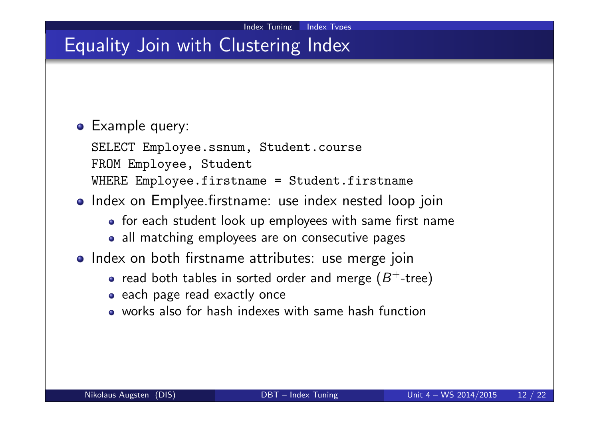### Equality Join with Clustering Index

#### **•** Example query:

SELECT Employee.ssnum, Student.course FROM Employee, Student WHERE Employee.firstname = Student.firstname

- Index on Emplyee firstname: use index nested loop join
	- for each student look up employees with same first name
	- all matching employees are on consecutive pages
- o Index on both firstname attributes: use merge join
	- read both tables in sorted order and merge  $(B^{+}\text{-} \mathsf{tree})$
	- each page read exactly once
	- works also for hash indexes with same hash function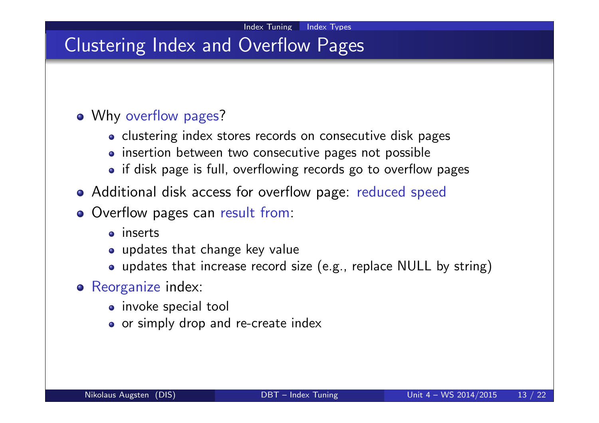## Clustering Index and Overflow Pages

#### • Why overflow pages?

- clustering index stores records on consecutive disk pages
- insertion between two consecutive pages not possible
- if disk page is full, overflowing records go to overflow pages
- Additional disk access for overflow page: reduced speed
- Overflow pages can result from:
	- inserts
	- updates that change key value
	- updates that increase record size (e.g., replace NULL by string)
- Reorganize index:
	- invoke special tool
	- or simply drop and re-create index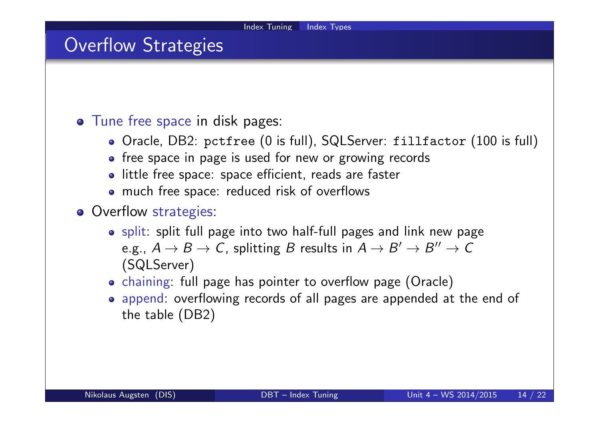### Overflow Strategies

#### **•** Tune free space in disk pages:

- Oracle, DB2: pctfree (0 is full), SQLServer: fillfactor (100 is full)
- free space in page is used for new or growing records
- little free space: space efficient, reads are faster
- much free space: reduced risk of overflows
- **o** Overflow strategies:
	- split: split full page into two half-full pages and link new page e.g.,  $A \rightarrow B \rightarrow C$ , splitting  $B$  results in  $A \rightarrow B' \rightarrow B'' \rightarrow C$ (SQLServer)
	- chaining: full page has pointer to overflow page (Oracle)
	- append: overflowing records of all pages are appended at the end of the table (DB2)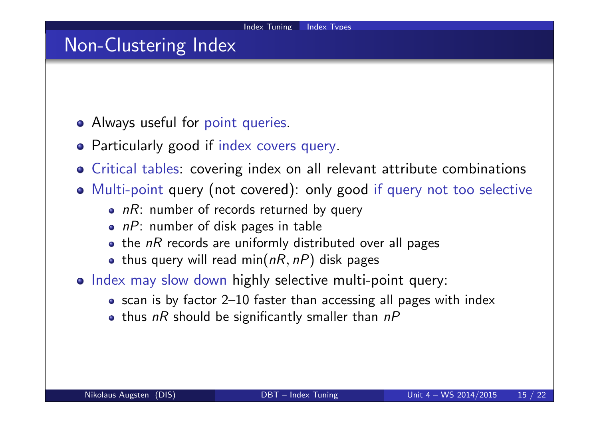### Non-Clustering Index

- Always useful for point queries.
- Particularly good if index covers query.
- Critical tables: covering index on all relevant attribute combinations
- Multi-point query (not covered): only good if query not too selective
	- $nR$ : number of records returned by query
	- $\bullet$  nP: number of disk pages in table
	- $\bullet$  the nR records are uniformly distributed over all pages
	- thus query will read min( $nR$ ,  $nP$ ) disk pages
- o Index may slow down highly selective multi-point query:
	- scan is by factor 2–10 faster than accessing all pages with index
	- thus  $nR$  should be significantly smaller than  $nP$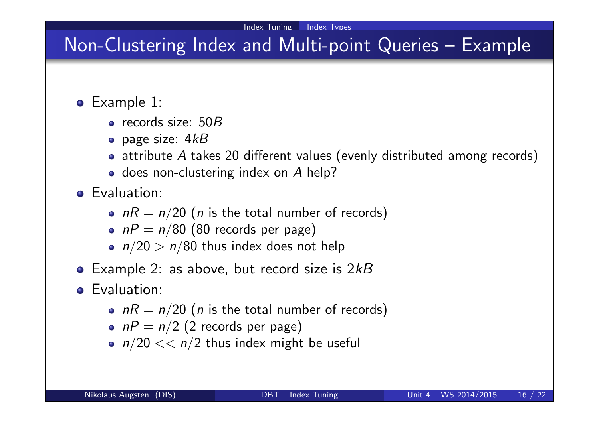## Non-Clustering Index and Multi-point Queries – Example

- Example 1:
	- $\bullet$  records size: 50 $B$
	- $\bullet$  page size:  $4kB$
	- $\bullet$  attribute A takes 20 different values (evenly distributed among records)
	- $\bullet$  does non-clustering index on  $A$  help?
- **•** Evaluation:
	- $nR = n/20$  (*n* is the total number of records)
	- $nP = n/80$  (80 records per page)
	- $n/20 > n/80$  thus index does not help
- Example 2: as above, but record size is  $2kB$
- **o** Evaluation:
	- $nR = n/20$  (*n* is the total number of records)
	- $nP = n/2$  (2 records per page)
	- $n/20 \ll n/2$  thus index might be useful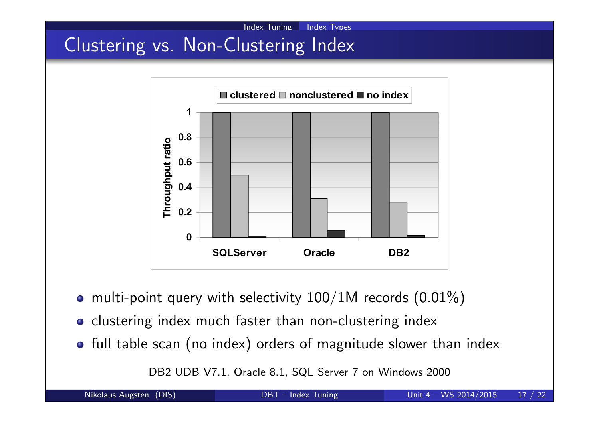Clustering vs. Non-Clustering Index



Index Tuning Index Types

- multi-point query with selectivity  $100/1M$  records  $(0.01\%)$
- o clustering index much faster than non-clustering index
- full table scan (no index) orders of magnitude slower than index

DB2 UDB V7.1, Oracle 8.1, SQL Server 7 on Windows 2000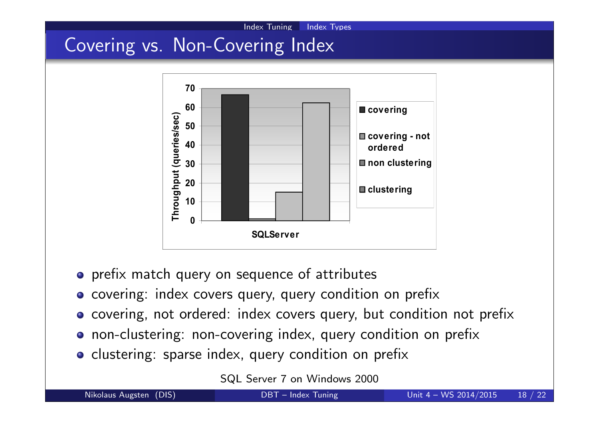# Covering vs. Non-Covering Index



Index Tuning Index Types

- o prefix match query on sequence of attributes
- o covering: index covers query, query condition on prefix
- covering, not ordered: index covers query, but condition not prefix
- non-clustering: non-covering index, query condition on prefix
- o clustering: sparse index, query condition on prefix

SQL Server 7 on Windows 2000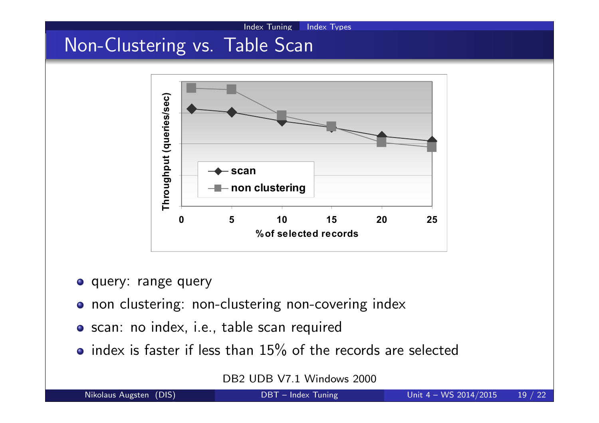

- query: range query
- o non clustering: non-clustering non-covering index
- scan: no index, i.e., table scan required
- $\bullet$  index is faster if less than 15% of the records are selected

DB2 UDB V7.1 Windows 2000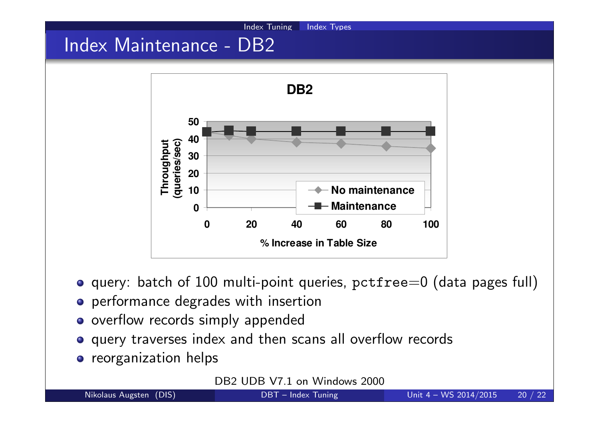# Index Maintenance - DB2



Index Tuning Index Types

- $\bullet$  query: batch of 100 multi-point queries, pctfree=0 (data pages full)
- performance degrades with insertion
- o overflow records simply appended
- query traverses index and then scans all overflow records
- **o** reorganization helps

DB<sub>2</sub> UDB V<sub>7.1</sub> on Windows 2000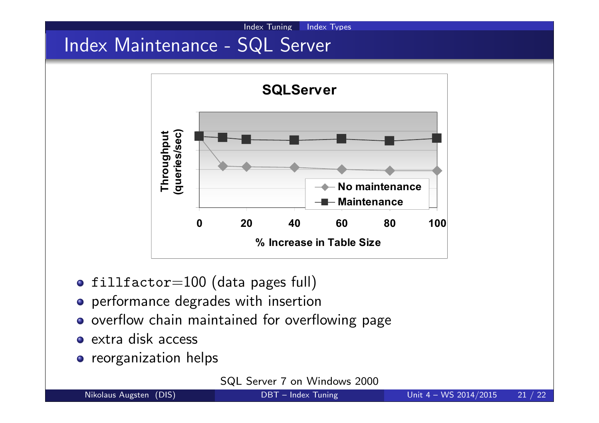# Index Maintenance - SQL Server



Index Tuning Index Types

- $\bullet$  fillfactor=100 (data pages full)
- performance degrades with insertion
- o overflow chain maintained for overflowing page
- extra disk access
- **o** reorganization helps

SQL Server 7 on Windows 2000